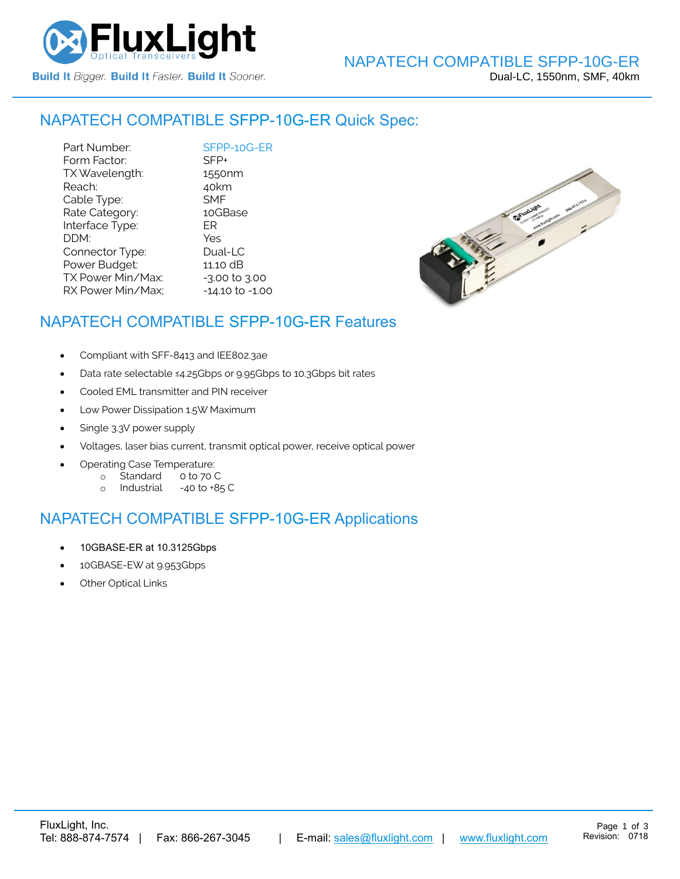

#### NAPATECH COMPATIBLE [SFPP-10G-ER](https://www.fluxlight.com/) Quick Spec:

Part Number: [SFPP-10G-ER](https://www.fluxlight.com/)<br>Form Factor: SFP+ Form Factor: TX Wavelength: 1550nm Reach: 40km Cable Type: SMF Rate Category: 10GBase Interface Type: ER DDM: Yes Connector Type: Dual-LC Power Budget: 11.10 dB  $TX$  Power Min/Max:  $-3.00$  to  $3.00$ RX Power Min/Max; - 14.10 to -1.00



# NAPATECH COMPATIBLE [SFPP-10G-ER](https://www.fluxlight.com/) Features

- Compliant with SFF-8413 and IEE802.3ae
- Data rate selectable ≤4.25Gbps or 9.95Gbps to 10.3Gbps bit rates
- Cooled EML transmitter and PIN receiver
- Low Power Dissipation 1.5W Maximum
- Single 3.3V power supply
- Voltages, laser bias current, transmit optical power, receive optical power
- Operating Case Temperature:
	- o Standard 0 to 70 C
	- o Industrial -40 to +85 C

### NAPATECH COMPATIBLE [SFPP-10G-ER](https://www.fluxlight.com/) Applications

- 10GBASE-ER at 10.3125Gbps
- 10GBASE-EW at 9.953Gbps
- **Other Optical Links**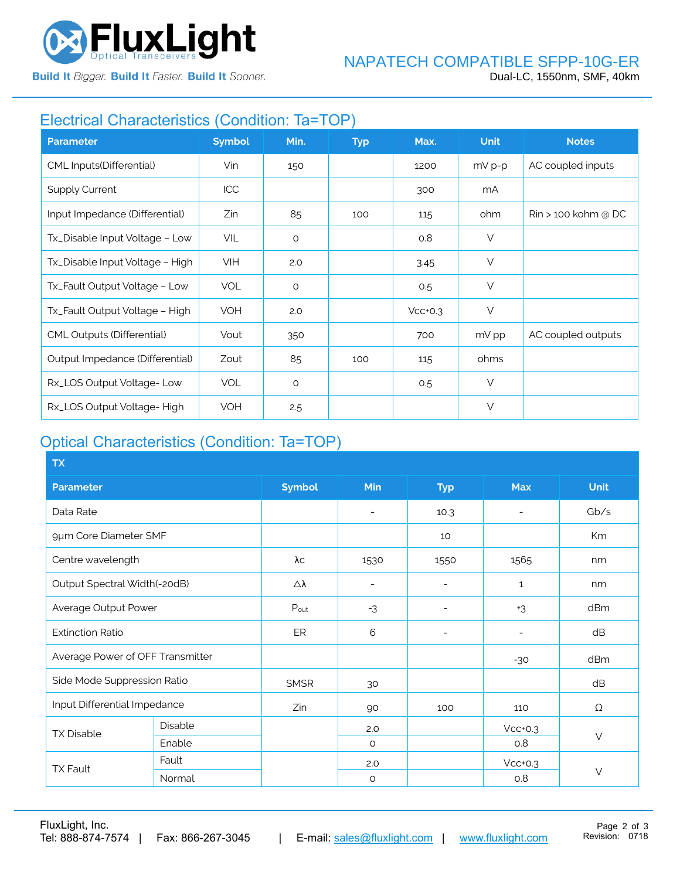

**Build It Bigger. Build It Faster. Build It Sooner.** 

# Electrical Characteristics (Condition: Ta=TOP)

| <b>Parameter</b>                  | <b>Symbol</b> | Min.    | <b>Typ</b> | Max.      | <b>Unit</b> | <b>Notes</b>                    |
|-----------------------------------|---------------|---------|------------|-----------|-------------|---------------------------------|
| CML Inputs(Differential)          | Vin           | 150     |            | 1200      | $mV p-p$    | AC coupled inputs               |
| <b>Supply Current</b>             | ICC           |         |            | 300       | mA          |                                 |
| Input Impedance (Differential)    | Zin           | 85      | 100        | 115       | ohm         | $\mathrm{R}$ in > 100 kohm @ DC |
| Tx_Disable Input Voltage - Low    | <b>VIL</b>    | $\circ$ |            | O.8       | $\vee$      |                                 |
| Tx_Disable Input Voltage - High   | <b>VIH</b>    | 2.0     |            | 3.45      | $\vee$      |                                 |
| Tx_Fault Output Voltage - Low     | <b>VOL</b>    | $\circ$ |            | 0.5       | $\vee$      |                                 |
| Tx_Fault Output Voltage - High    | VOH           | 2.0     |            | $Vcc+0.3$ | $\vee$      |                                 |
| <b>CML Outputs (Differential)</b> | Vout          | 350     |            | 700       | mV pp       | AC coupled outputs              |
| Output Impedance (Differential)   | Zout          | 85      | 100        | 115       | ohms        |                                 |
| Rx_LOS Output Voltage-Low         | <b>VOL</b>    | $\circ$ |            | 0.5       | $\vee$      |                                 |
| Rx_LOS Output Voltage-High        | <b>VOH</b>    | 2.5     |            |           | V           |                                 |

# Optical Characteristics (Condition: Ta=TOP)

| <b>TX</b>                        |                |                  |                          |                          |                          |             |
|----------------------------------|----------------|------------------|--------------------------|--------------------------|--------------------------|-------------|
| <b>Parameter</b>                 |                | <b>Symbol</b>    | Min                      | <b>Typ</b>               | <b>Max</b>               | <b>Unit</b> |
| Data Rate                        |                |                  | $\overline{\phantom{a}}$ | 10.3                     | $\overline{\phantom{a}}$ | Gb/s        |
| 9µm Core Diameter SMF            |                |                  |                          | 10                       |                          | Km          |
| Centre wavelength                |                | λс               | 1530                     | 1550                     | 1565                     | nm          |
| Output Spectral Width(-20dB)     |                | Δλ               | $\overline{\phantom{a}}$ | $\overline{\phantom{0}}$ | $\mathbf{1}$             | nm          |
| Average Output Power             |                | $P_{\text{out}}$ | $-3$                     | $\overline{\phantom{0}}$ | $+3$                     | dBm         |
| <b>Extinction Ratio</b>          |                | ER               | 6                        |                          |                          | dB          |
| Average Power of OFF Transmitter |                |                  |                          |                          | $-30$                    | dBm         |
| Side Mode Suppression Ratio      |                | <b>SMSR</b>      | 30                       |                          |                          | dB          |
| Input Differential Impedance     |                | Zin              | 90                       | 100                      | 110                      | Ω           |
| <b>TX Disable</b>                | <b>Disable</b> |                  | 2.0                      |                          | $Vcc+0.3$                |             |
|                                  | Enable         |                  | $\circ$                  |                          | 0.8                      | $\vee$      |
| <b>TX Fault</b>                  | Fault          |                  | 2.0                      |                          | $Vcc+0.3$                |             |
|                                  | Normal         |                  | $\circ$                  |                          | 0.8                      | $\vee$      |